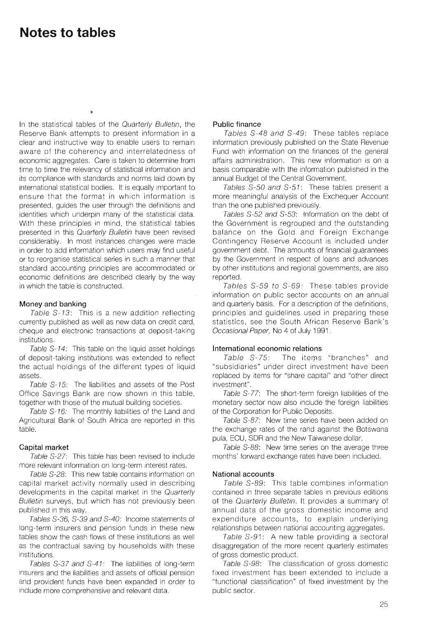# **Notes to tables**

In the statistical tables of the Quarterly Bulletin, the Reserve Bank attempts to present information in a clear and instructive way to enable users to remain aware of the coherency and interrelatedness of economic aggregates. Care is taken to determine from time to time the relevancy of statistical information and its compliance with standards and norms laid down by international statistical bodies. It is equally important to ensure that the format in which information is presented, guides the user through the definitions and identities which underpin many of the statistical data. With these principles in mind, the statistical tables presented in this Quarterly Bulletin have been revised considerably. In most instances changes were made in order to add information which users may find useful or to reorganise statistical series in such a manner that standard accounting principles are accommodated or economic definitions are described clearly by the way in which the table is constructed.

## **Money and banking**

Table S-13: This is a new addition reflecting currently published as well as new data on credit card, cheque and electronic transactions at deposit-taking institutions.

Table S-14: This table on the liquid asset holdings of deposit-taking institutions was extended to reflect the actual holdings of the different types of liquid assets.

Table S-15: The liabilities and assets of the Post Office Savings Bank are now shown in this table, together with those of the mutual building societies.

Table S-16: The monthly liabilities of the Land and Agricultural Bank of South Africa are reported in this table.

## **Capital market**

Table S-27: This table has been revised to include more relevant information on long-term interest rates.

Table S-28: This new table contains information on capital market activity normally used in describing developments in the capital market in the Quarterly Bulletin surveys, but which has not previously been published in this way.

Tables S-36, S-39 and S-40: Income statements of long-term insurers and pension funds in these new tables show the cash flows of these institutions as well as the contractual saving by households with these institutions.

Tables S-37 and S-41: The liabilities of long-term insurers and the liabilities and assets of official pension and provident funds have been expanded in order to include more comprehensive and relevant data.

## **Public finance**

Tables S-48 and S-49: These tables replace information previously published on the State Revenue Fund with information on the finances of the general affairs administration. This new information is on a basis comparable with the information published in the annual Budget of the Central Government.

Tables S-50 and S-51: These tables present a more meaningful analysis of the Exchequer Account than the one published previously.

Tables S-52 and S-53: Information on the debt of the Government is regrouped and the outstanding balance on the Gold and Foreign Exchange Contingency Reserve Account is included under government debt. The amounts of financial guarantees by the Government in respect of loans and advances by other institutions and regional governments, are also reported.

Tables S-59 to S-69: These tables provide information on public sector accounts on an annual and quarterly basis. For a description of the definitions, principles and guidelines used in preparing these statistics, see the South African Reserve Bank's Occasional Paper, No 4 of July 1991.

## **International economic relations**

Table S-75: The items "branches" and "subsidiaries" under direct investment have been replaced by items for "share capital" and "other direct investment".

Table S-77: The short-term foreign liabilities of the monetary sector now also include the foreign liabilities of the Corporation for Public Deposits.

Table S-87: New time series have been added on the exchange rates of the rand against the Botswana pula, ECU, SDR and the New Taiwanese dollar.

Table S-88: New time series on the average three months' forward exchange rates have been included.

### **National accounts**

Table S-89: This table combines information contained in three separate tables in previous editions of the Quarterly Bulletin. It provides a summary of annual data of the gross domestic income and expenditure accounts, to explain underlying relationships between national accounting aggregates.

Table S-91: A new table providing a sectoral disaggregation of the more recent quarterly estimates of gross domestic product.

Table S-98: The classification of gross domestic fixed investment has been extended to include a "functional classification" of fixed investment by the public sector.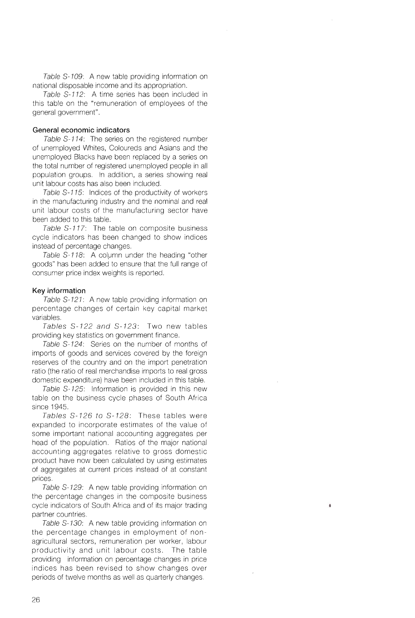Table 5-109: A new table providing information on national disposable income and its appropriation.

Table S-112: A time series has been included in this table on the "remuneration of employees of the general government".

## **General economic indicators**

Table S-114: The series on the registered number of unemployed Whites, Coloureds and Asians and the unemployed Blacks have been replaced by a series on the total number of registered unemployed people in all population groups. In addition, a series showing real unit labour costs has also been included.

Table S-115: Indices of the productivity of workers in the manufacturing industry and the nominal and real unit labour costs of the manufacturing sector have been added to this table.

Table S-117: The table on composite business cycle indicators has been changed to show indices instead of percentage changes.

Table S-118: A column under the heading "other goods" has been added to ensure that the full range of consumer price index weights is reported.

## **Key information**

Table S-121: A new table providing information on percentage changes of certain key capital market variables.

Tables 5-122 and S-123: Two new tables providing key statistics on government finance.

Table S-124: Series on the number of months of imports of goods and services covered by the foreign reserves of the country and on the import penetration ratio (the ratio of real merchandise imports to real gross domestic expenditure) have been included in this table.

Table 5-125: Information is provided in this new table on the business cycle phases of South Africa since 1945.

Tables S-126 to S-128: These tables were expanded to incorporate estimates of the value of some important national accounting aggregates per head of the population. Ratios of the major national accounting aggregates relative to gross domestic product have now been calculated by using estimates of aggregates at current prices instead of at constant prices.

Table S-129: A new table providing information on the percentage changes in the composite business cycle indicators of South Africa and of its major trading partner countries.

Table S-130: A new table providing information on the percentage changes in employment of nonagricultural sectors, remuneration per worker, labour productivity and unit labour costs. The table providing information on percentage changes in price indices has been revised to show changes over periods of twelve months as well as quarterly changes.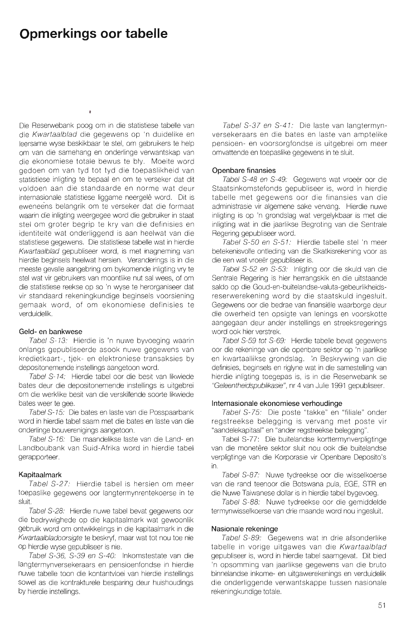# **Opmerkings oor tabelle**

Die Reserwebank poog om in die statistiese tabelle van die Kwartaalblad die gegewens op 'n duidelike en leersame wyse beskikbaar te stel, om gebruikers te help om van die samehang en onderlinge verwantskap van die ekonomiese totale bewus te bly. Moeite word gedoen om van tyd tot tyd die toepaslikheid van statistiese inligting te bepaal en om te verseker dat dit voldoen aan die standaarde en norme wat deur internasionale statistiese liggame neergelê word. Dit is eweneens belangrik om te verseker dat die formaat waarin die inligting weergegee word die gebruiker in staat stel om groter begrip te kry van die definisies en identiteite wat onderliggend is aan heelwat van die statistiese gegewens. Die statistiese tabelle wat in hierdie Kwartaalblad gepubliseer word, is met inagneming van hierdie beginsels heelwat hersien. Veranderings is in die meeste gevalle aangebring om bykomende inligting vry te stel wat vir gebruikers van moontlike nut sal wees, of om die statistiese reekse op so 'n wyse te herorganiseer dat vir standaard rekeningkundige beginsels voorsiening gemaak word, of om ekonomiese definisies te verduidelik.

### **Geld- en bankwese**

Tabel S-13: Hierdie is 'n nuwe byvoeging waarin onlangs gepubliseerde asook nuwe gegewens van kredietkaart-, tjek- en elektroniese transaksies by depositonemende instellings aangetoon word.

Tabel S-14: Hierdie tabel oor die besit van likwiede bates deur die depositonemende instellings is uitgebrei om die werklike besit van die verskillende soorte likwiede bates weer te gee.

Tabel \$-15: Die bates en laste van die Posspaarbank word in hierdie tabel saam met die bates en laste van die onderlinge bouverenigings aangetoon.

Tabel \$-16: Die maandelikse laste van die Land- en Landboubank van Suid-Afrika word in hierdie tabel gerapporteer.

### **Kapitaalmark**

Tabel S-27: Hierdie tabel is hersien om meer toepaslike gegewens oor langtermynrentekoerse in te sluit.

Tabel \$-28: Hierdie nuwe tabel bevat gegewens oor die bedrywighede op die kapitaalmark wat gewoonlik gebruik word om ontwikkelings in die kapitaalmark in die Kwartaalbladoorsigte te beskryf, maar wat tot nou toe nie op hierdie wyse gepubliseer is nie.

Tabel 5-36, \$-39 en \$-40: Inkomstestate van die langtermynversekeraars en pensioenfondse in hierdie nuwe tabelle toon die kontantvloei van hierdie instellings sowel as die kontrakturele besparing deur huishoudings by hierdie instellings.

Tabel S-37 en S-41: Die laste van langtermynversekeraars en die bates en laste van amptelike pensioen- en voorsorgfondse is uitgebrei om meer omvattende en toepaslike gegewens in te sluit.

### **Openbare finansies**

Tabel S-48 en S-49: Gegewens wat vroeër oor die Staatsinkomstefonds gepubliseer is, word in hierdie tabelle met gegewens oor die finansies van die administrasie vir algemene sake vervang. Hierdie nuwe inligting is op 'n grondslag wat vergelykbaar is met die inligting wat in die jaarlikse Begroting van die Sentrale Regering gepubliseer word.

Tabel \$-50 en 5-51: Hierdie tabelle stel 'n meer betekenisvolle ontleding van die Skatkisrekening voor as die een wat vroeër gepubliseer is.

Tabel \$-52 en 5-53: Inligting oor die skuld van die Sentrale Regering is hier herrangskik en die uitstaande saldo op die Goud-en-buitelandse-valuta-gebeurlikheidsreserwerekening word by die staatskuld ingesluit. Gegewens oor die bedrae van finansiële waarborge deur die owerheid ten opsigte van lenings en voorskotte aangegaan deur ander instellings en streeksregerings word ook hier verstrek.

Tabel S-59 tot S-69: Hierdie tabelle bevat gegewens oor die rekeninge van die openbare sektor op 'n jaarlikse en kwartaallikse grondslag. 'n Beskrywing van die definisies, beginsels en riglyne wat in die samestelling van hierdie inligting toegepas is, is in die Reserwebank se "Geleentheidspublikasie", nr 4 van Julie 1991 gepubliseer.

### **Internasionale ekonomiese verhoudinge**

Tabel S-75: Die poste "takke" en "filiale" onder regstreekse belegging is vervang met poste vir "aandelekapitaal" en "ander regstreekse belegging".

Tabel S-77: Die buitelandse korttermynverpligtinge van die monetêre sektor sluit nou ook die buitelandse verpligtinge van die Korporasie vir Openbare Deposito's in.

Tabel S-87: Nuwe tydreekse oor die wisselkoerse van die rand teenoor die Botswana pula, EGE, STR en die Nuwe Taiwanese dollar is in hierdie tabel bygevoeg.

Tabel S-88: Nuwe tydreekse oor die gemiddelde termynwisselkoerse van drie maande word nou ingesluit.

### **Nasionale rekeninge**

Tabel S-89: Gegewens wat in drie afsonderlike tabelle in vorige uitgawes van die Kwartaalblad gepubliseer is, word in hierdie tabel saamgevat. Dit bied 'n opsomming van jaarlikse gegewens van die bruto binnelandse inkome- en uitgawerekenings en verduidelik die onderliggende verwantskappe tussen nasionale rekeningkundige totale.